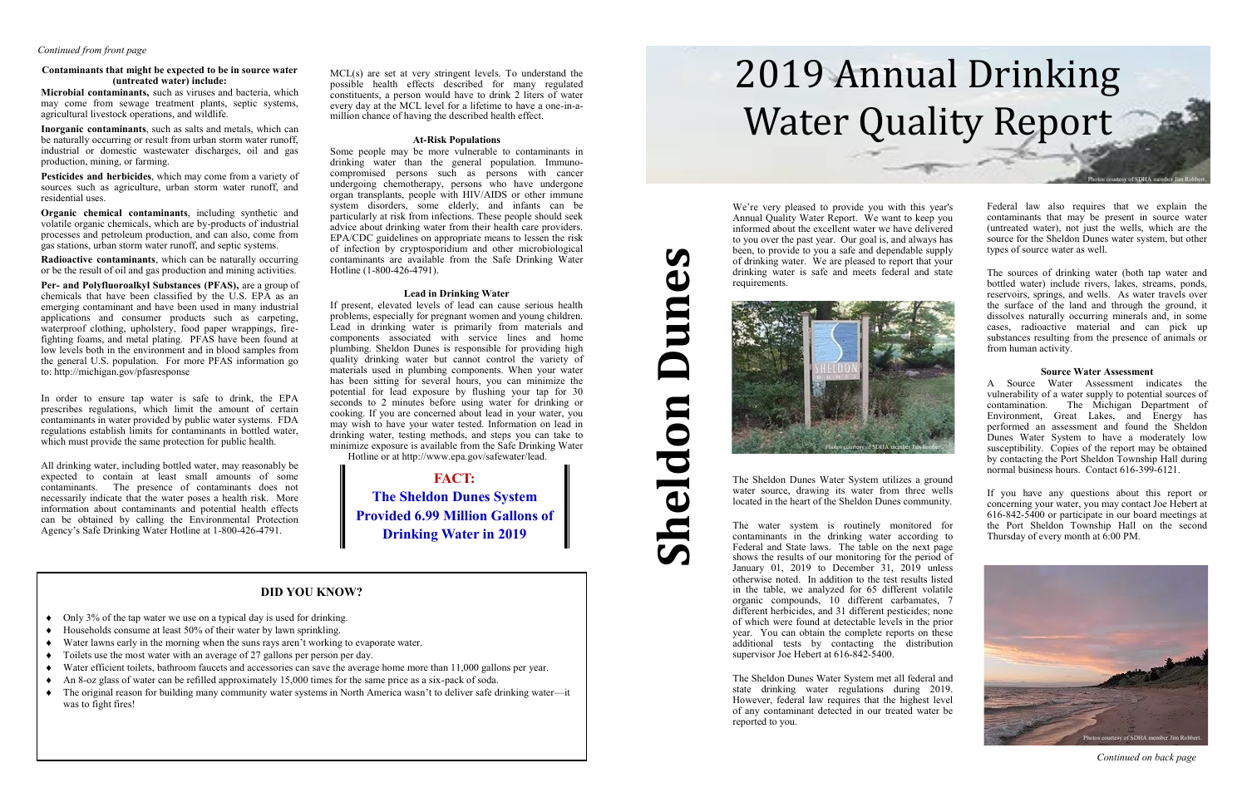We're very pleased to provide you with this year's Annual Quality Water Report. We want to keep you informed about the excellent water we have delivered to you over the past year. Our goal is, and always has been, to provide to you a safe and dependable supply of drinking water. We are pleased to report that your drinking water is safe and meets federal and state requirements.

The Sheldon Dunes Water System utilizes a ground water source, drawing its water from three wells located in the heart of the Sheldon Dunes community.

The water system is routinely monitored for contaminants in the drinking water according to Federal and State laws. The table on the next page shows the results of our monitoring for the period of January 01, 2019 to December 31, 2019 unless otherwise noted. In addition to the test results listed in the table, we analyzed for 65 different volatile organic compounds, 10 different carbamates, 7 different herbicides, and 31 different pesticides; none of which were found at detectable levels in the prior year. You can obtain the complete reports on these additional tests by contacting the distribution supervisor Joe Hebert at 616-842-5400.

If you have any questions about this report or concerning your water, you may contact Joe Hebert at 616-842-5400 or participate in our board meetings at the Port Sheldon Township Hall on the second Thursday of every month at 6:00 PM.

The Sheldon Dunes Water System met all federal and state drinking water regulations during 2019. However, federal law requires that the highest level of any contaminant detected in our treated water be reported to you.

Federal law also requires that we explain the contaminants that may be present in source water (untreated water), not just the wells, which are the source for the Sheldon Dunes water system, but other types of source water as well.

The sources of drinking water (both tap water and bottled water) include rivers, lakes, streams, ponds, reservoirs, springs, and wells. As water travels over the surface of the land and through the ground, it dissolves naturally occurring minerals and, in some cases, radioactive material and can pick up substances resulting from the presence of animals or from human activity.

#### **Source Water Assessment**

A Source Water Assessment indicates the vulnerability of a water supply to potential sources of contamination. The Michigan Department of Environment, Great Lakes, and Energy has performed an assessment and found the Sheldon Dunes Water System to have a moderately low susceptibility. Copies of the report may be obtained by contacting the Port Sheldon Township Hall during normal business hours. Contact 616-399-6121.

**Sheldon Dunes**

neldon

#### **Contaminants that might be expected to be in source water (untreated water) include:**

**Microbial contaminants,** such as viruses and bacteria, which may come from sewage treatment plants, septic systems, agricultural livestock operations, and wildlife.

**Inorganic contaminants**, such as salts and metals, which can be naturally occurring or result from urban storm water runoff, industrial or domestic wastewater discharges, oil and gas production, mining, or farming.

**Pesticides and herbicides**, which may come from a variety of sources such as agriculture, urban storm water runoff, and residential uses.

**Organic chemical contaminants**, including synthetic and volatile organic chemicals, which are by-products of industrial processes and petroleum production, and can also, come from gas stations, urban storm water runoff, and septic systems.

**Radioactive contaminants**, which can be naturally occurring or be the result of oil and gas production and mining activities.

- Only 3% of the tap water we use on a typical day is used for drinking.
- $\blacklozenge$  Households consume at least 50% of their water by lawn sprinkling.
- Water lawns early in the morning when the suns rays aren't working to evaporate water.
- Toilets use the most water with an average of 27 gallons per person per day.
- Water efficient toilets, bathroom faucets and accessories can save the average home more than 11,000 gallons per year.
- An 8-oz glass of water can be refilled approximately 15,000 times for the same price as a six-pack of soda.
- The original reason for building many community water systems in North America wasn't to deliver safe drinking water—it was to fight fires!

**Per- and Polyfluoroalkyl Substances (PFAS),** are a group of chemicals that have been classified by the U.S. EPA as an emerging contaminant and have been used in many industrial applications and consumer products such as carpeting, waterproof clothing, upholstery, food paper wrappings, firefighting foams, and metal plating. PFAS have been found at low levels both in the environment and in blood samples from the general U.S. population. For more PFAS information go to: http://michigan.gov/pfasresponse

In order to ensure tap water is safe to drink, the EPA prescribes regulations, which limit the amount of certain contaminants in water provided by public water systems. FDA regulations establish limits for contaminants in bottled water, which must provide the same protection for public health.

All drinking water, including bottled water, may reasonably be expected to contain at least small amounts of some contaminants. The presence of contaminants does not necessarily indicate that the water poses a health risk. More information about contaminants and potential health effects can be obtained by calling the Environmental Protection Agency's Safe Drinking Water Hotline at 1-800-426-4791.

MCL(s) are set at very stringent levels. To understand the possible health effects described for many regulated constituents, a person would have to drink 2 liters of water every day at the MCL level for a lifetime to have a one-in-amillion chance of having the described health effect.

## **At-Risk Populations**

Some people may be more vulnerable to contaminants in drinking water than the general population. Immunocompromised persons such as persons with cancer undergoing chemotherapy, persons who have undergone organ transplants, people with HIV/AIDS or other immune system disorders, some elderly, and infants can be particularly at risk from infections. These people should seek advice about drinking water from their health care providers. EPA/CDC guidelines on appropriate means to lessen the risk of infection by cryptosporidium and other microbiological contaminants are available from the Safe Drinking Water Hotline (1-800-426-4791).

### **Lead in Drinking Water**

If present, elevated levels of lead can cause serious health problems, especially for pregnant women and young children. Lead in drinking water is primarily from materials and components associated with service lines and home plumbing. Sheldon Dunes is responsible for providing high quality drinking water but cannot control the variety of materials used in plumbing components. When your water has been sitting for several hours, you can minimize the potential for lead exposure by flushing your tap for 30 seconds to 2 minutes before using water for drinking or cooking. If you are concerned about lead in your water, you may wish to have your water tested. Information on lead in drinking water, testing methods, and steps you can take to minimize exposure is available from the Safe Drinking Water

Hotline or at http://www.epa.gov/safewater/lead.

# **DID YOU KNOW?**

# 2019 Annual Drinking Water Quality Report Photos courtesy of SDHA member Jim Robbert.



*Continued on back page*



**FACT: The Sheldon Dunes System Provided 6.99 Million Gallons of Drinking Water in 2019**